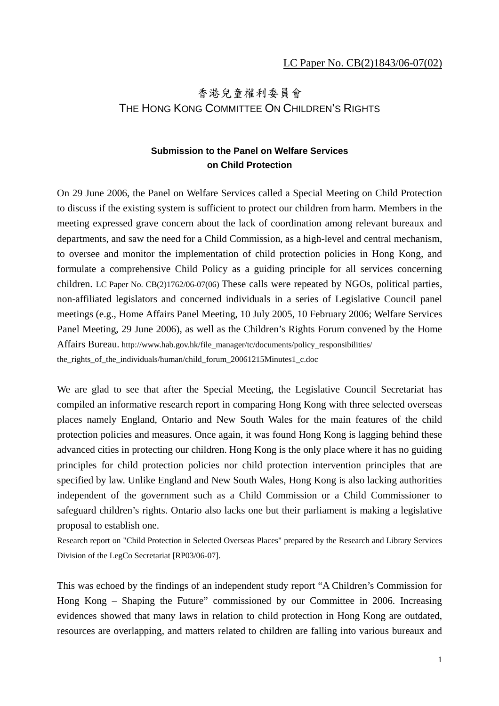# 香港兒童權利委員會 THE HONG KONG COMMITTEE ON CHILDREN'S RIGHTS

### **Submission to the Panel on Welfare Services on Child Protection**

On 29 June 2006, the Panel on Welfare Services called a Special Meeting on Child Protection to discuss if the existing system is sufficient to protect our children from harm. Members in the meeting expressed grave concern about the lack of coordination among relevant bureaux and departments, and saw the need for a Child Commission, as a high-level and central mechanism, to oversee and monitor the implementation of child protection policies in Hong Kong, and formulate a comprehensive Child Policy as a guiding principle for all services concerning children. LC Paper No. CB(2)1762/06-07(06) These calls were repeated by NGOs, political parties, non-affiliated legislators and concerned individuals in a series of Legislative Council panel meetings (e.g., Home Affairs Panel Meeting, 10 July 2005, 10 February 2006; Welfare Services Panel Meeting, 29 June 2006), as well as the Children's Rights Forum convened by the Home Affairs Bureau. http://www.hab.gov.hk/file\_manager/tc/documents/policy\_responsibilities/ the\_rights\_of\_the\_individuals/human/child\_forum\_20061215Minutes1\_c.doc

We are glad to see that after the Special Meeting, the Legislative Council Secretariat has compiled an informative research report in comparing Hong Kong with three selected overseas places namely England, Ontario and New South Wales for the main features of the child protection policies and measures. Once again, it was found Hong Kong is lagging behind these advanced cities in protecting our children. Hong Kong is the only place where it has no guiding principles for child protection policies nor child protection intervention principles that are specified by law. Unlike England and New South Wales, Hong Kong is also lacking authorities independent of the government such as a Child Commission or a Child Commissioner to safeguard children's rights. Ontario also lacks one but their parliament is making a legislative proposal to establish one.

Research report on "Child Protection in Selected Overseas Places" prepared by the Research and Library Services Division of the LegCo Secretariat [RP03/06-07].

This was echoed by the findings of an independent study report "A Children's Commission for Hong Kong – Shaping the Future" commissioned by our Committee in 2006. Increasing evidences showed that many laws in relation to child protection in Hong Kong are outdated, resources are overlapping, and matters related to children are falling into various bureaux and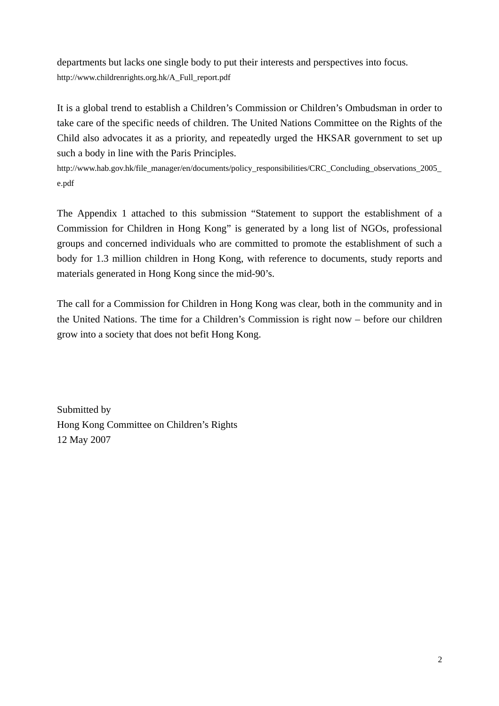departments but lacks one single body to put their interests and perspectives into focus. http://www.childrenrights.org.hk/A\_Full\_report.pdf

It is a global trend to establish a Children's Commission or Children's Ombudsman in order to take care of the specific needs of children. The United Nations Committee on the Rights of the Child also advocates it as a priority, and repeatedly urged the HKSAR government to set up such a body in line with the Paris Principles.

http://www.hab.gov.hk/file\_manager/en/documents/policy\_responsibilities/CRC\_Concluding\_observations\_2005\_ e.pdf

The Appendix 1 attached to this submission "Statement to support the establishment of a Commission for Children in Hong Kong" is generated by a long list of NGOs, professional groups and concerned individuals who are committed to promote the establishment of such a body for 1.3 million children in Hong Kong, with reference to documents, study reports and materials generated in Hong Kong since the mid-90's.

The call for a Commission for Children in Hong Kong was clear, both in the community and in the United Nations. The time for a Children's Commission is right now – before our children grow into a society that does not befit Hong Kong.

Submitted by Hong Kong Committee on Children's Rights 12 May 2007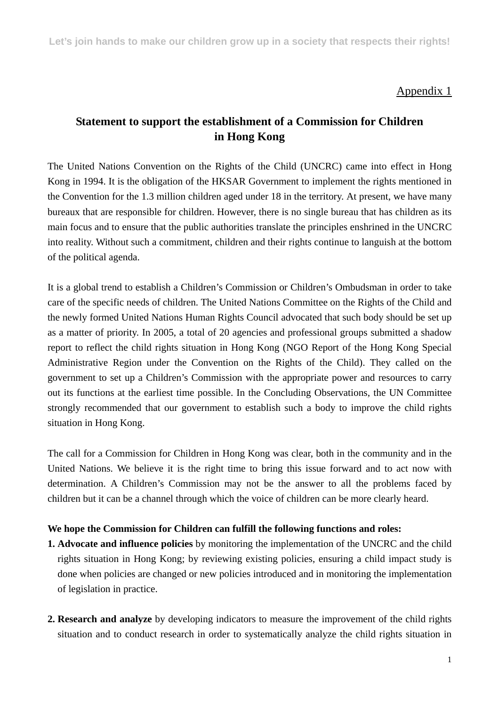**Let's join hands to make our children grow up in a society that respects their rights!**

### Appendix 1

## **Statement to support the establishment of a Commission for Children in Hong Kong**

The United Nations Convention on the Rights of the Child (UNCRC) came into effect in Hong Kong in 1994. It is the obligation of the HKSAR Government to implement the rights mentioned in the Convention for the 1.3 million children aged under 18 in the territory. At present, we have many bureaux that are responsible for children. However, there is no single bureau that has children as its main focus and to ensure that the public authorities translate the principles enshrined in the UNCRC into reality. Without such a commitment, children and their rights continue to languish at the bottom of the political agenda.

It is a global trend to establish a Children's Commission or Children's Ombudsman in order to take care of the specific needs of children. The United Nations Committee on the Rights of the Child and the newly formed United Nations Human Rights Council advocated that such body should be set up as a matter of priority. In 2005, a total of 20 agencies and professional groups submitted a shadow report to reflect the child rights situation in Hong Kong (NGO Report of the Hong Kong Special Administrative Region under the Convention on the Rights of the Child). They called on the government to set up a Children's Commission with the appropriate power and resources to carry out its functions at the earliest time possible. In the Concluding Observations, the UN Committee strongly recommended that our government to establish such a body to improve the child rights situation in Hong Kong.

The call for a Commission for Children in Hong Kong was clear, both in the community and in the United Nations. We believe it is the right time to bring this issue forward and to act now with determination. A Children's Commission may not be the answer to all the problems faced by children but it can be a channel through which the voice of children can be more clearly heard.

#### **We hope the Commission for Children can fulfill the following functions and roles:**

- **1. Advocate and influence policies** by monitoring the implementation of the UNCRC and the child rights situation in Hong Kong; by reviewing existing policies, ensuring a child impact study is done when policies are changed or new policies introduced and in monitoring the implementation of legislation in practice.
- **2. Research and analyze** by developing indicators to measure the improvement of the child rights situation and to conduct research in order to systematically analyze the child rights situation in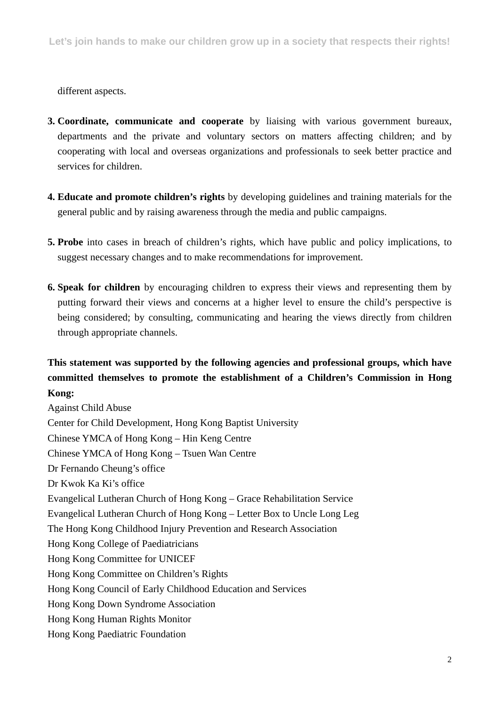different aspects.

- **3. Coordinate, communicate and cooperate** by liaising with various government bureaux, departments and the private and voluntary sectors on matters affecting children; and by cooperating with local and overseas organizations and professionals to seek better practice and services for children.
- **4. Educate and promote children's rights** by developing guidelines and training materials for the general public and by raising awareness through the media and public campaigns.
- **5. Probe** into cases in breach of children's rights, which have public and policy implications, to suggest necessary changes and to make recommendations for improvement.
- **6. Speak for children** by encouraging children to express their views and representing them by putting forward their views and concerns at a higher level to ensure the child's perspective is being considered; by consulting, communicating and hearing the views directly from children through appropriate channels.

## **This statement was supported by the following agencies and professional groups, which have committed themselves to promote the establishment of a Children's Commission in Hong Kong:**

Against Child Abuse Center for Child Development, Hong Kong Baptist University Chinese YMCA of Hong Kong – Hin Keng Centre Chinese YMCA of Hong Kong – Tsuen Wan Centre Dr Fernando Cheung's office Dr Kwok Ka Ki's office Evangelical Lutheran Church of Hong Kong – Grace Rehabilitation Service Evangelical Lutheran Church of Hong Kong – Letter Box to Uncle Long Leg The Hong Kong Childhood Injury Prevention and Research Association Hong Kong College of Paediatricians Hong Kong Committee for UNICEF Hong Kong Committee on Children's Rights Hong Kong Council of Early Childhood Education and Services Hong Kong Down Syndrome Association Hong Kong Human Rights Monitor Hong Kong Paediatric Foundation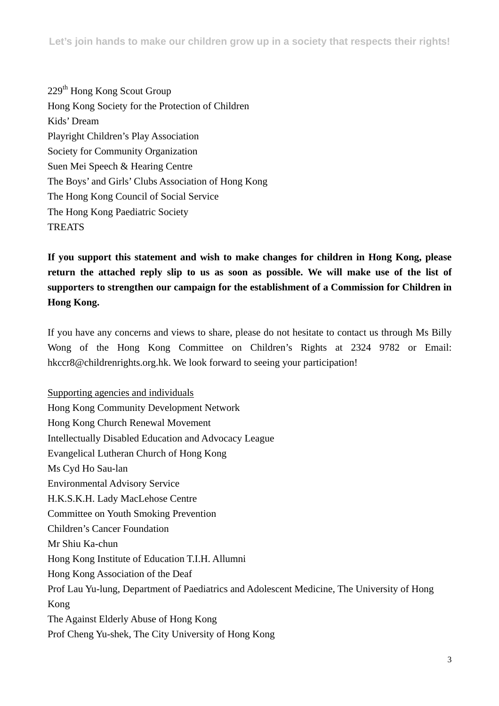**Let's join hands to make our children grow up in a society that respects their rights!**

229th Hong Kong Scout Group Hong Kong Society for the Protection of Children Kids' Dream Playright Children's Play Association Society for Community Organization Suen Mei Speech & Hearing Centre The Boys' and Girls' Clubs Association of Hong Kong The Hong Kong Council of Social Service The Hong Kong Paediatric Society **TREATS** 

**If you support this statement and wish to make changes for children in Hong Kong, please return the attached reply slip to us as soon as possible. We will make use of the list of supporters to strengthen our campaign for the establishment of a Commission for Children in Hong Kong.** 

If you have any concerns and views to share, please do not hesitate to contact us through Ms Billy Wong of the Hong Kong Committee on Children's Rights at 2324 9782 or Email: hkccr8@childrenrights.org.hk. We look forward to seeing your participation!

Supporting agencies and individuals Hong Kong Community Development Network Hong Kong Church Renewal Movement Intellectually Disabled Education and Advocacy League Evangelical Lutheran Church of Hong Kong Ms Cyd Ho Sau-lan Environmental Advisory Service H.K.S.K.H. Lady MacLehose Centre Committee on Youth Smoking Prevention Children's Cancer Foundation Mr Shiu Ka-chun Hong Kong Institute of Education T.I.H. Allumni Hong Kong Association of the Deaf Prof Lau Yu-lung, Department of Paediatrics and Adolescent Medicine, The University of Hong Kong The Against Elderly Abuse of Hong Kong Prof Cheng Yu-shek, The City University of Hong Kong